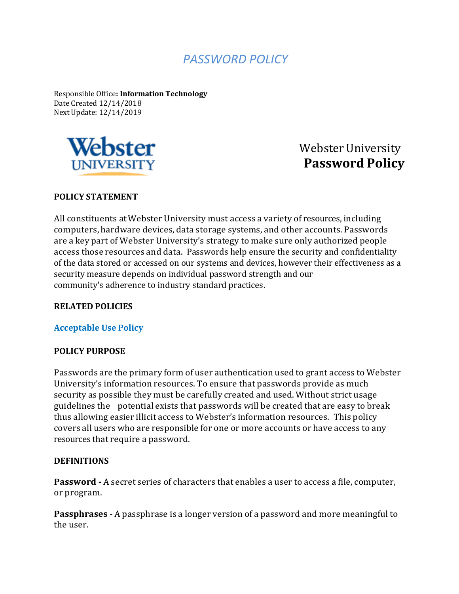# *PASSWORD POLICY*

Responsible Office**: Information Technology** Date Created 12/14/2018 Next Update: 12/14/2019



Webster University **Password Policy**

#### **POLICY STATEMENT**

All constituents atWebster University must access a variety of resources, including computers,hardware devices, data storage systems, and other accounts. Passwords are a key part of Webster University's strategy to make sure only authorized people access those resources and data. Passwords help ensure the security and confidentiality of the data stored or accessed on our systems and devices, however their effectiveness as a security measure depends on individual password strength and our community's adherence to industry standard practices.

#### **RELATED POLICIES**

#### **Acceptable Use Policy**

#### **POLICY PURPOSE**

Passwords are the primary form of user authentication used to grant access to Webster University's information resources. To ensure that passwords provide as much security as possible they must be carefully created and used. Without strict usage guidelines the potential exists that passwords will be created that are easy to break thus allowing easier illicit access to Webster's information resources. This policy covers all users who are responsible for one or more accounts or have access to any resources that require a password.

#### **DEFINITIONS**

**Password -** A secret series of characters that enables a user to access a file, computer, or program.

**Passphrases** - A passphrase is a longer version of a password and more meaningful to the user.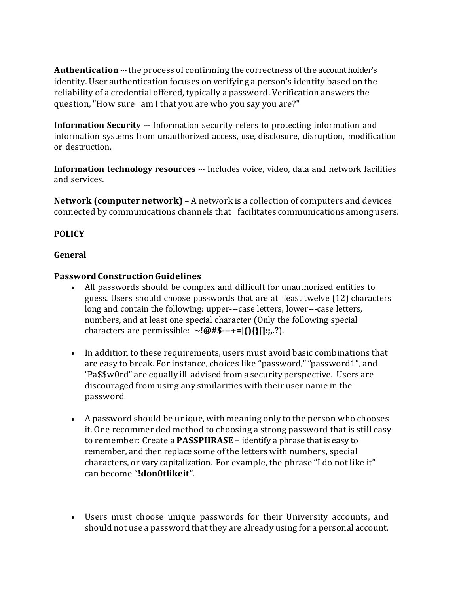Authentication --- the process of confirming the correctness of the account holder's identity. User authentication focuses on verifying a person's identity based on the reliability of a credential offered, typically a password. Verification answers the question,"How sure am I that you are who you say you are?"

**Information Security** --- Information security refers to protecting information and information systems from unauthorized access, use, disclosure, disruption, modification or destruction.

**Information** *technology* **resources** --- Includes voice, video, data and network facilities and services.

**Network (computer network)** – A network is a collection of computers and devices connected by communications channels that facilitates communications among users.

## **POLICY**

## **General**

## **PasswordConstructionGuidelines**

- All passwords should be complex and difficult for unauthorized entities to guess. Users should choose passwords that are at least twelve (12) characters long and contain the following: upper---case letters, lower---case letters, numbers, and at least one special character (Only the following special characters are permissible: **~!@#\$-+=|(){}[]:;,.?**).
- In addition to these requirements, users must avoid basic combinations that are easy to break. For instance, choices like "password,""password1", and "Pa\$\$w0rd" are equally ill-advised from a security perspective. Users are discouraged from using any similarities with their user name in the password
- A password should be unique, with meaning only to the person who chooses it. One recommended method to choosing a strong password that is still easy to remember: Create a **PASSPHRASE** – identify a phrase that is easy to remember, and then replace some of the letters with numbers, special characters, or vary capitalization. For example, the phrase "I do not like it" can become "**!don0tlikeit"**.
- Users must choose unique passwords for their University accounts, and should not use a password that they are already using for a personal account.